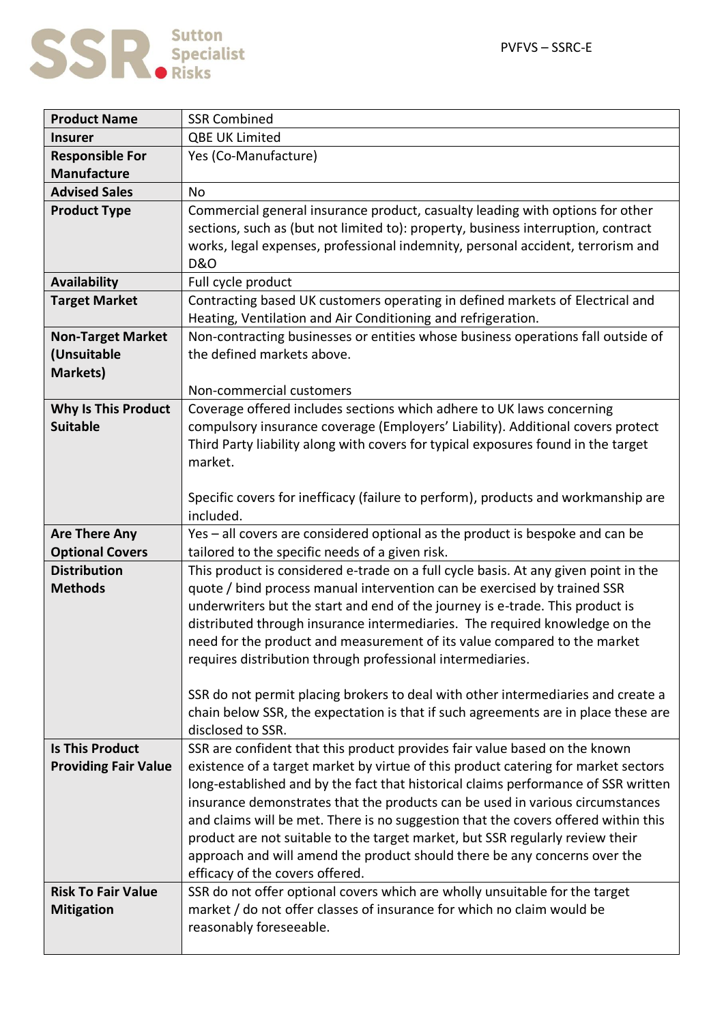

| <b>Product Name</b>         | <b>SSR Combined</b>                                                                                                                                                 |
|-----------------------------|---------------------------------------------------------------------------------------------------------------------------------------------------------------------|
| <b>Insurer</b>              | <b>QBE UK Limited</b>                                                                                                                                               |
| <b>Responsible For</b>      | Yes (Co-Manufacture)                                                                                                                                                |
| <b>Manufacture</b>          |                                                                                                                                                                     |
| <b>Advised Sales</b>        | <b>No</b>                                                                                                                                                           |
| <b>Product Type</b>         | Commercial general insurance product, casualty leading with options for other                                                                                       |
|                             | sections, such as (but not limited to): property, business interruption, contract                                                                                   |
|                             | works, legal expenses, professional indemnity, personal accident, terrorism and                                                                                     |
|                             | <b>D&amp;O</b>                                                                                                                                                      |
| <b>Availability</b>         | Full cycle product                                                                                                                                                  |
| <b>Target Market</b>        | Contracting based UK customers operating in defined markets of Electrical and                                                                                       |
|                             | Heating, Ventilation and Air Conditioning and refrigeration.                                                                                                        |
| <b>Non-Target Market</b>    | Non-contracting businesses or entities whose business operations fall outside of                                                                                    |
| (Unsuitable                 | the defined markets above.                                                                                                                                          |
| <b>Markets)</b>             |                                                                                                                                                                     |
|                             | Non-commercial customers                                                                                                                                            |
| <b>Why Is This Product</b>  | Coverage offered includes sections which adhere to UK laws concerning                                                                                               |
| <b>Suitable</b>             | compulsory insurance coverage (Employers' Liability). Additional covers protect                                                                                     |
|                             | Third Party liability along with covers for typical exposures found in the target<br>market.                                                                        |
|                             |                                                                                                                                                                     |
|                             | Specific covers for inefficacy (failure to perform), products and workmanship are                                                                                   |
|                             | included.                                                                                                                                                           |
| <b>Are There Any</b>        | Yes - all covers are considered optional as the product is bespoke and can be                                                                                       |
| <b>Optional Covers</b>      | tailored to the specific needs of a given risk.                                                                                                                     |
| <b>Distribution</b>         | This product is considered e-trade on a full cycle basis. At any given point in the                                                                                 |
| <b>Methods</b>              | quote / bind process manual intervention can be exercised by trained SSR                                                                                            |
|                             | underwriters but the start and end of the journey is e-trade. This product is                                                                                       |
|                             | distributed through insurance intermediaries. The required knowledge on the                                                                                         |
|                             | need for the product and measurement of its value compared to the market                                                                                            |
|                             | requires distribution through professional intermediaries.                                                                                                          |
|                             |                                                                                                                                                                     |
|                             | SSR do not permit placing brokers to deal with other intermediaries and create a                                                                                    |
|                             | chain below SSR, the expectation is that if such agreements are in place these are                                                                                  |
|                             | disclosed to SSR.                                                                                                                                                   |
| <b>Is This Product</b>      | SSR are confident that this product provides fair value based on the known                                                                                          |
| <b>Providing Fair Value</b> | existence of a target market by virtue of this product catering for market sectors                                                                                  |
|                             | long-established and by the fact that historical claims performance of SSR written                                                                                  |
|                             | insurance demonstrates that the products can be used in various circumstances<br>and claims will be met. There is no suggestion that the covers offered within this |
|                             | product are not suitable to the target market, but SSR regularly review their                                                                                       |
|                             | approach and will amend the product should there be any concerns over the                                                                                           |
|                             | efficacy of the covers offered.                                                                                                                                     |
| <b>Risk To Fair Value</b>   | SSR do not offer optional covers which are wholly unsuitable for the target                                                                                         |
| <b>Mitigation</b>           | market / do not offer classes of insurance for which no claim would be                                                                                              |
|                             | reasonably foreseeable.                                                                                                                                             |
|                             |                                                                                                                                                                     |